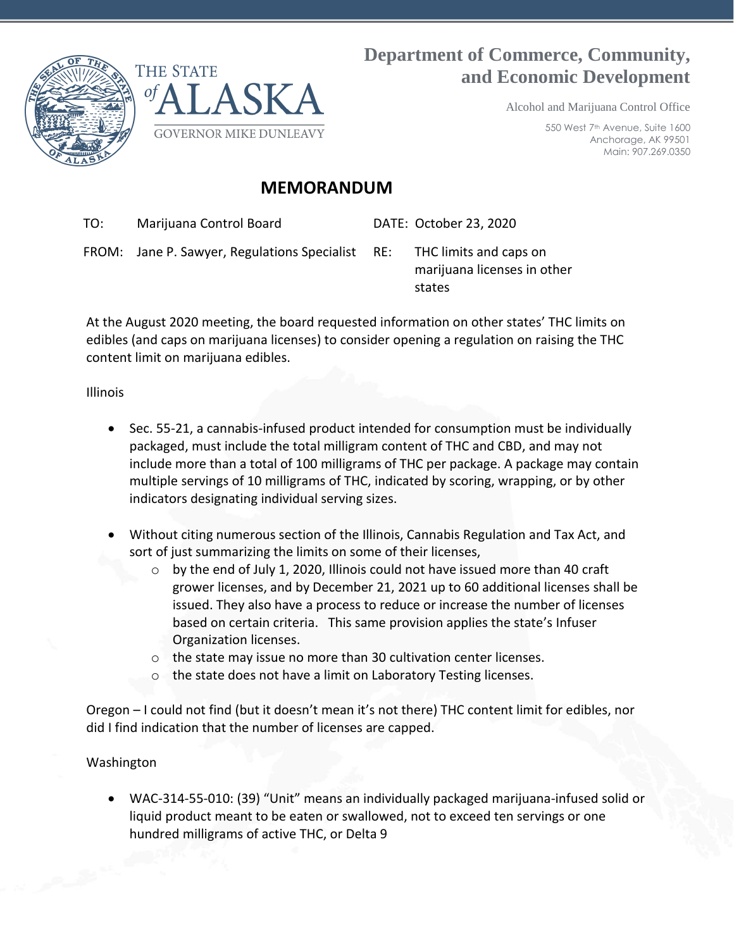



**Department of Commerce, Community, and Economic Development**

Alcohol and Marijuana Control Office

550 West 7th Avenue, Suite 1600 Anchorage, AK 99501 Main: 907.269.0350

## **MEMORANDUM**

TO: Marijuana Control Board DATE: October 23, 2020

FROM: Jane P. Sawyer, Regulations Specialist RE: THC limits and caps on

marijuana licenses in other states

At the August 2020 meeting, the board requested information on other states' THC limits on edibles (and caps on marijuana licenses) to consider opening a regulation on raising the THC content limit on marijuana edibles.

Illinois

- Sec. 55-21, a cannabis-infused product intended for consumption must be individually packaged, must include the total milligram content of THC and CBD, and may not include more than a total of 100 milligrams of THC per package. A package may contain multiple servings of 10 milligrams of THC, indicated by scoring, wrapping, or by other indicators designating individual serving sizes.
- Without citing numerous section of the Illinois, Cannabis Regulation and Tax Act, and sort of just summarizing the limits on some of their licenses,
	- $\circ$  by the end of July 1, 2020, Illinois could not have issued more than 40 craft grower licenses, and by December 21, 2021 up to 60 additional licenses shall be issued. They also have a process to reduce or increase the number of licenses based on certain criteria. This same provision applies the state's Infuser Organization licenses.
	- o the state may issue no more than 30 cultivation center licenses.
	- o the state does not have a limit on Laboratory Testing licenses.

Oregon – I could not find (but it doesn't mean it's not there) THC content limit for edibles, nor did I find indication that the number of licenses are capped.

## Washington

• WAC-314-55-010: (39) "Unit" means an individually packaged marijuana-infused solid or liquid product meant to be eaten or swallowed, not to exceed ten servings or one hundred milligrams of active THC, or Delta 9